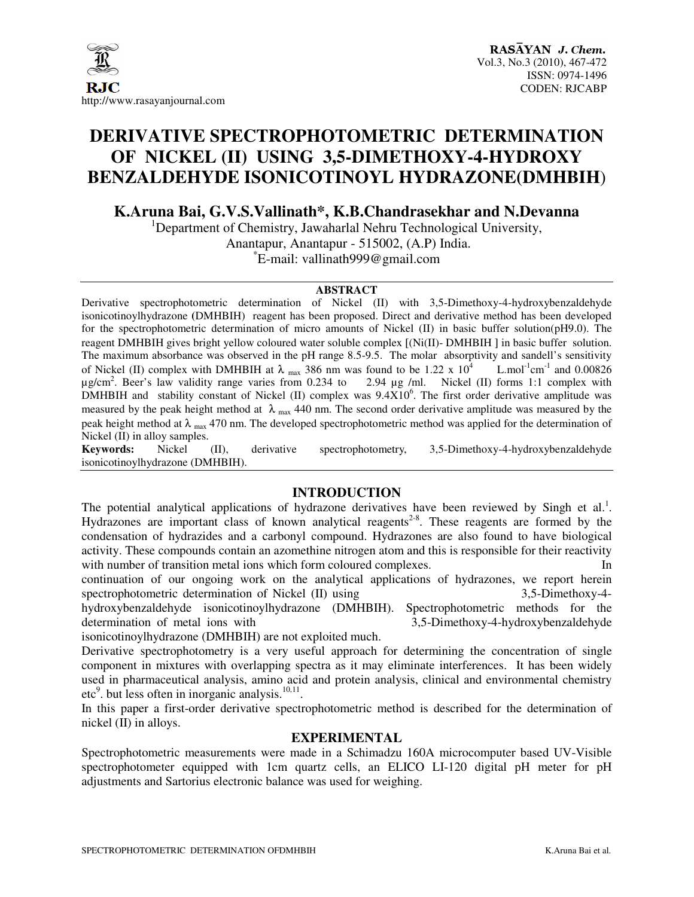

# **DERIVATIVE SPECTROPHOTOMETRIC DETERMINATION OF NICKEL (II) USING 3,5-DIMETHOXY-4-HYDROXY BENZALDEHYDE ISONICOTINOYL HYDRAZONE(DMHBIH**)

**K.Aruna Bai, G.V.S.Vallinath\*, K.B.Chandrasekhar and N.Devanna** 

<sup>1</sup>Department of Chemistry, Jawaharlal Nehru Technological University, Anantapur, Anantapur - 515002, (A.P) India. \* E-mail: vallinath999@gmail.com

#### **ABSTRACT**

Derivative spectrophotometric determination of Nickel (II) with 3,5-Dimethoxy-4-hydroxybenzaldehyde isonicotinoylhydrazone **(**DMHBIH) reagent has been proposed. Direct and derivative method has been developed for the spectrophotometric determination of micro amounts of Nickel (II) in basic buffer solution(pH9.0). The reagent DMHBIH gives bright yellow coloured water soluble complex [(Ni(II)- DMHBIH ] in basic buffer solution. The maximum absorbance was observed in the pH range 8.5-9.5. The molar absorptivity and sandell's sensitivity of Nickel (II) complex with DMHBIH at  $\lambda$  max 386 nm was found to be 1.22 x 10<sup>4</sup> L.mol<sup>-1</sup>cm<sup>-1</sup> and 0.00826  $\mu$ g/cm<sup>2</sup>. Beer's law validity range varies from 0.234 to 2.94  $\mu$ g /ml. Nickel (II) forms 1:1 complex with DMHBIH and stability constant of Nickel (II) complex was  $9.4 \times 10^6$ . The first order derivative amplitude was measured by the peak height method at  $\lambda$  <sub>max</sub> 440 nm. The second order derivative amplitude was measured by the peak height method at  $\lambda_{\text{max}}$  470 nm. The developed spectrophotometric method was applied for the determination of Nickel (II) in alloy samples.<br>**Keywords:** Nickel

(II), derivative spectrophotometry, 3,5-Dimethoxy-4-hydroxybenzaldehyde isonicotinoylhydrazone (DMHBIH).

# **INTRODUCTION**

The potential analytical applications of hydrazone derivatives have been reviewed by Singh et al.<sup>1</sup>. Hydrazones are important class of known analytical reagents<sup>2-8</sup>. These reagents are formed by the condensation of hydrazides and a carbonyl compound. Hydrazones are also found to have biological activity. These compounds contain an azomethine nitrogen atom and this is responsible for their reactivity with number of transition metal ions which form coloured complexes.

continuation of our ongoing work on the analytical applications of hydrazones, we report herein spectrophotometric determination of Nickel (II) using 3,5-Dimethoxy-4hydroxybenzaldehyde isonicotinoylhydrazone (DMHBIH). Spectrophotometric methods for the determination of metal ions with 3,5-Dimethoxy-4-hydroxybenzaldehyde

isonicotinoylhydrazone (DMHBIH) are not exploited much.

Derivative spectrophotometry is a very useful approach for determining the concentration of single component in mixtures with overlapping spectra as it may eliminate interferences. It has been widely used in pharmaceutical analysis, amino acid and protein analysis, clinical and environmental chemistry  $\text{etc}^9$ . but less often in inorganic analysis.<sup>10,11</sup>.

In this paper a first-order derivative spectrophotometric method is described for the determination of nickel (II) in alloys.

# **EXPERIMENTAL**

Spectrophotometric measurements were made in a Schimadzu 160A microcomputer based UV-Visible spectrophotometer equipped with 1cm quartz cells, an ELICO LI-120 digital pH meter for pH adjustments and Sartorius electronic balance was used for weighing.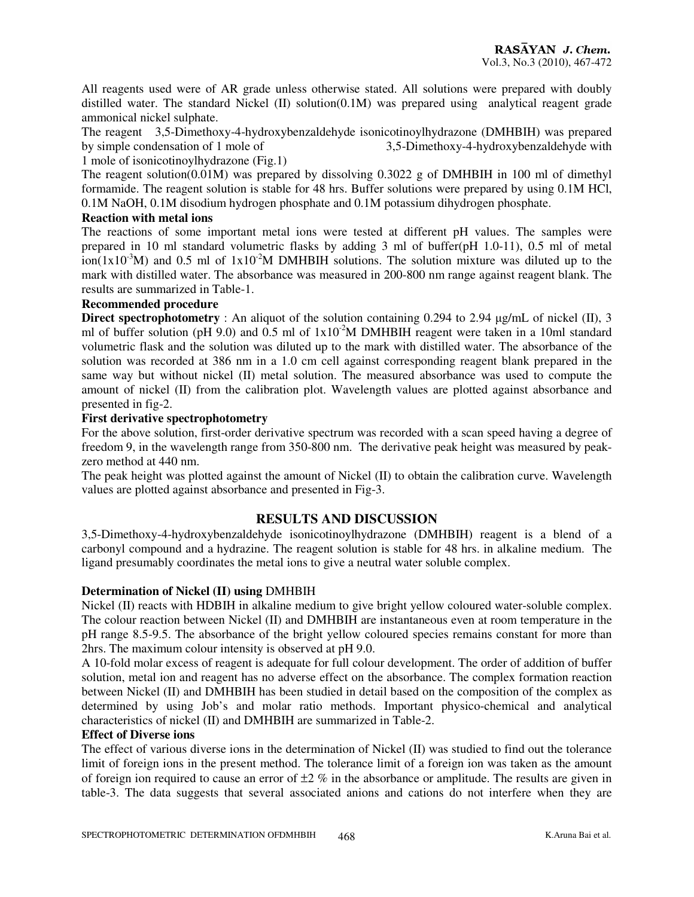All reagents used were of AR grade unless otherwise stated. All solutions were prepared with doubly distilled water. The standard Nickel (II) solution(0.1M) was prepared using analytical reagent grade ammonical nickel sulphate.

The reagent 3,5-Dimethoxy-4-hydroxybenzaldehyde isonicotinoylhydrazone (DMHBIH) was prepared by simple condensation of 1 mole of 3,5-Dimethoxy-4-hydroxybenzaldehyde with 1 mole of isonicotinoylhydrazone (Fig.1)

The reagent solution(0.01M) was prepared by dissolving 0.3022 g of DMHBIH in 100 ml of dimethyl formamide. The reagent solution is stable for 48 hrs. Buffer solutions were prepared by using 0.1M HCl, 0.1M NaOH, 0.1M disodium hydrogen phosphate and 0.1M potassium dihydrogen phosphate.

# **Reaction with metal ions**

The reactions of some important metal ions were tested at different pH values. The samples were prepared in 10 ml standard volumetric flasks by adding 3 ml of buffer(pH 1.0-11), 0.5 ml of metal  $\text{ion}(1x10^3\text{M})$  and 0.5 ml of  $1x10^2\text{M}$  DMHBIH solutions. The solution mixture was diluted up to the mark with distilled water. The absorbance was measured in 200-800 nm range against reagent blank. The results are summarized in Table-1.

#### **Recommended procedure**

**Direct spectrophotometry** : An aliquot of the solution containing 0.294 to 2.94 µg/mL of nickel (II), 3 ml of buffer solution (pH 9.0) and 0.5 ml of  $1x10^{-2}M$  DMHBIH reagent were taken in a 10ml standard volumetric flask and the solution was diluted up to the mark with distilled water. The absorbance of the solution was recorded at 386 nm in a 1.0 cm cell against corresponding reagent blank prepared in the same way but without nickel (II) metal solution. The measured absorbance was used to compute the amount of nickel (II) from the calibration plot. Wavelength values are plotted against absorbance and presented in fig-2.

# **First derivative spectrophotometry**

For the above solution, first-order derivative spectrum was recorded with a scan speed having a degree of freedom 9, in the wavelength range from 350-800 nm. The derivative peak height was measured by peakzero method at 440 nm.

The peak height was plotted against the amount of Nickel (II) to obtain the calibration curve. Wavelength values are plotted against absorbance and presented in Fig-3.

# **RESULTS AND DISCUSSION**

3,5-Dimethoxy-4-hydroxybenzaldehyde isonicotinoylhydrazone (DMHBIH) reagent is a blend of a carbonyl compound and a hydrazine. The reagent solution is stable for 48 hrs. in alkaline medium. The ligand presumably coordinates the metal ions to give a neutral water soluble complex.

# **Determination of Nickel (II) using** DMHBIH

Nickel (II) reacts with HDBIH in alkaline medium to give bright yellow coloured water-soluble complex. The colour reaction between Nickel (II) and DMHBIH are instantaneous even at room temperature in the pH range 8.5-9.5. The absorbance of the bright yellow coloured species remains constant for more than 2hrs. The maximum colour intensity is observed at pH 9.0.

A 10-fold molar excess of reagent is adequate for full colour development. The order of addition of buffer solution, metal ion and reagent has no adverse effect on the absorbance. The complex formation reaction between Nickel (II) and DMHBIH has been studied in detail based on the composition of the complex as determined by using Job's and molar ratio methods. Important physico-chemical and analytical characteristics of nickel (II) and DMHBIH are summarized in Table-2.

#### **Effect of Diverse ions**

The effect of various diverse ions in the determination of Nickel (II) was studied to find out the tolerance limit of foreign ions in the present method. The tolerance limit of a foreign ion was taken as the amount of foreign ion required to cause an error of  $\pm 2$  % in the absorbance or amplitude. The results are given in table-3. The data suggests that several associated anions and cations do not interfere when they are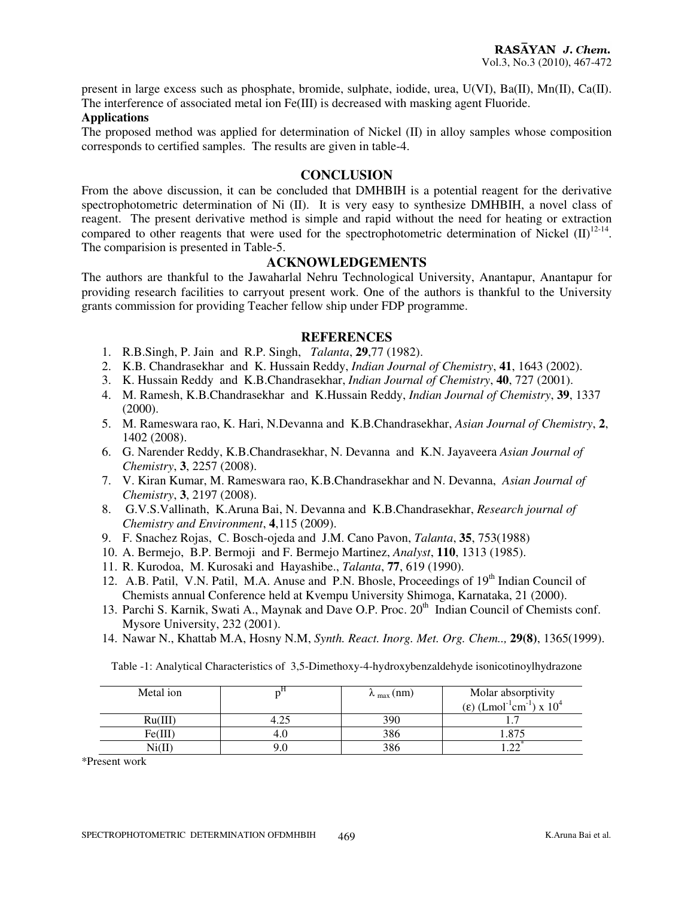present in large excess such as phosphate, bromide, sulphate, iodide, urea, U(VI), Ba(II), Mn(II), Ca(II). The interference of associated metal ion Fe(III) is decreased with masking agent Fluoride.

#### **Applications**

The proposed method was applied for determination of Nickel (II) in alloy samples whose composition corresponds to certified samples. The results are given in table-4.

#### **CONCLUSION**

From the above discussion, it can be concluded that DMHBIH is a potential reagent for the derivative spectrophotometric determination of Ni (II). It is very easy to synthesize DMHBIH, a novel class of reagent. The present derivative method is simple and rapid without the need for heating or extraction compared to other reagents that were used for the spectrophotometric determination of Nickel  $(II)^{12-14}$ . The comparision is presented in Table-5.

# **ACKNOWLEDGEMENTS**

The authors are thankful to the Jawaharlal Nehru Technological University, Anantapur, Anantapur for providing research facilities to carryout present work. One of the authors is thankful to the University grants commission for providing Teacher fellow ship under FDP programme.

#### **REFERENCES**

- 1. R.B.Singh, P. Jain and R.P. Singh, *Talanta*, **29**,77 (1982).
- 2. K.B. Chandrasekhar and K. Hussain Reddy, *Indian Journal of Chemistry*, **41**, 1643 (2002).
- 3. K. Hussain Reddy and K.B.Chandrasekhar, *Indian Journal of Chemistry*, **40**, 727 (2001).
- 4. M. Ramesh, K.B.Chandrasekhar and K.Hussain Reddy, *Indian Journal of Chemistry*, **39**, 1337 (2000).
- 5. M. Rameswara rao, K. Hari, N.Devanna and K.B.Chandrasekhar, *Asian Journal of Chemistry*, **2**, 1402 (2008).
- 6. G. Narender Reddy, K.B.Chandrasekhar, N. Devanna and K.N. Jayaveera *Asian Journal of Chemistry*, **3**, 2257 (2008).
- 7. V. Kiran Kumar, M. Rameswara rao, K.B.Chandrasekhar and N. Devanna, *Asian Journal of Chemistry*, **3**, 2197 (2008).
- 8. G.V.S.Vallinath, K.Aruna Bai, N. Devanna and K.B.Chandrasekhar, *Research journal of Chemistry and Environment*, **4**,115 (2009).
- 9. F. Snachez Rojas, C. Bosch-ojeda and J.M. Cano Pavon, *Talanta*, **35**, 753(1988)
- 10. A. Bermejo, B.P. Bermoji and F. Bermejo Martinez, *Analyst*, **110**, 1313 (1985).
- 11. R. Kurodoa, M. Kurosaki and Hayashibe., *Talanta*, **77**, 619 (1990).
- 12. A.B. Patil, V.N. Patil, M.A. Anuse and P.N. Bhosle, Proceedings of 19<sup>th</sup> Indian Council of Chemists annual Conference held at Kvempu University Shimoga, Karnataka, 21 (2000).
- 13. Parchi S. Karnik, Swati A., Maynak and Dave O.P. Proc. 20<sup>th</sup> Indian Council of Chemists conf. Mysore University, 232 (2001).
- 14. Nawar N., Khattab M.A, Hosny N.M, *Synth. React. Inorg. Met. Org. Chem..,* **29(8)**, 1365(1999).

Table -1: Analytical Characteristics of 3,5-Dimethoxy-4-hydroxybenzaldehyde isonicotinoylhydrazone

| Metal ion |      | $\lambda_{\text{max}}$ (nm) | Molar absorptivity<br>(ε) $(Lmol^{-1}cm^{-1}) \times 10^4$ |
|-----------|------|-----------------------------|------------------------------------------------------------|
| Ru(III)   | 4.25 | 390                         |                                                            |
| Fe(III)   | 4.U  | 386                         |                                                            |
|           |      | 386                         |                                                            |

\*Present work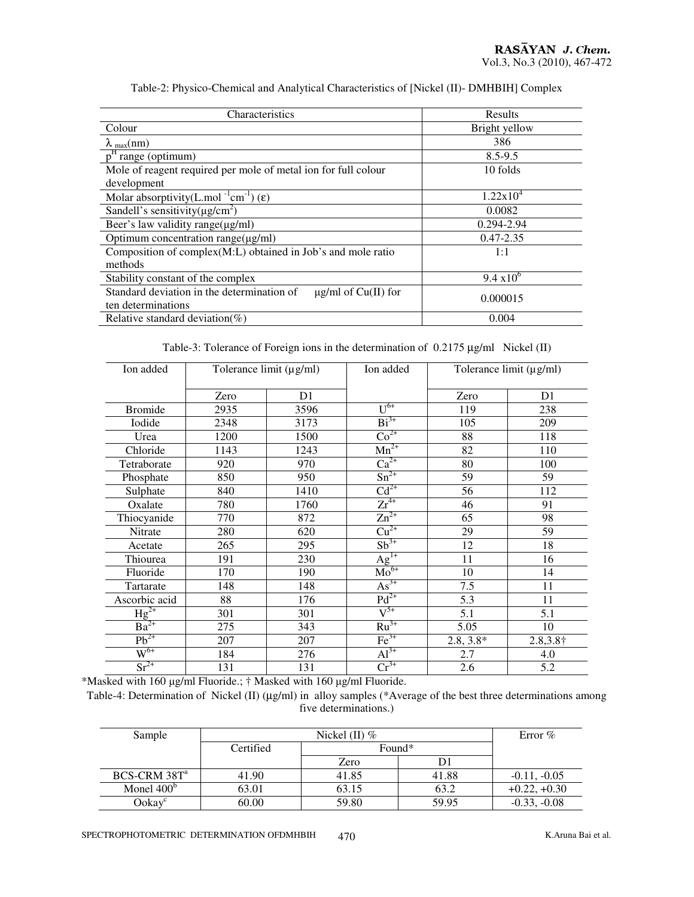| Characteristics                                                             | Results             |
|-----------------------------------------------------------------------------|---------------------|
| Colour                                                                      | Bright yellow       |
| $\lambda_{\text{max}}(nm)$                                                  | 386                 |
| $p^{\rm H}$<br>'range (optimum)                                             | $8.5 - 9.5$         |
| Mole of reagent required per mole of metal ion for full colour              | 10 folds            |
| development                                                                 |                     |
| Molar absorptivity(L.mol <sup>-1</sup> cm <sup>-1</sup> ) ( $\varepsilon$ ) | $1.22x10^{4}$       |
| Sandell's sensitivity( $\mu$ g/cm <sup>2</sup> )                            | 0.0082              |
| Beer's law validity range $(\mu g/ml)$                                      | 0.294-2.94          |
| Optimum concentration range( $\mu$ g/ml)                                    | $0.47 - 2.35$       |
| Composition of $complex(M:L)$ obtained in Job's and mole ratio              | 1:1                 |
| methods                                                                     |                     |
| Stability constant of the complex                                           | $9.4 \times 10^{6}$ |
| Standard deviation in the determination of<br>$\mu$ g/ml of Cu(II) for      | 0.000015            |
| ten determinations                                                          |                     |
| Relative standard deviation(%)                                              | 0.004               |

#### Table-2: Physico-Chemical and Analytical Characteristics of [Nickel (II)- DMHBIH] Complex

Table-3: Tolerance of Foreign ions in the determination of 0.2175 µg/ml Nickel (II)

| Ion added                     |      | Tolerance limit $(\mu g/ml)$ | Ion added           | Tolerance limit (µg/ml) |                  |
|-------------------------------|------|------------------------------|---------------------|-------------------------|------------------|
|                               | Zero | D1                           |                     | Zero                    | D <sub>1</sub>   |
| <b>Bromide</b>                | 2935 | 3596                         | $\overline{U^{6+}}$ | 119                     | 238              |
| Iodide                        | 2348 | 3173                         | $Bi^{3+}$           | 105                     | 209              |
| Urea                          | 1200 | 1500                         | $Co2+$              | 88                      | 118              |
| Chloride                      | 1143 | 1243                         | $Mn^{2+}$           | 82                      | 110              |
| Tetraborate                   | 920  | 970                          | $Ca^{2+}$           | 80                      | 100              |
| Phosphate                     | 850  | 950                          | $Sn^{2+}$           | 59                      | 59               |
| Sulphate                      | 840  | 1410                         | $Cd^{2+}$           | 56                      | 112              |
| Oxalate                       | 780  | 1760                         | $Zr^{4+}$           | 46                      | 91               |
| Thiocyanide                   | 770  | 872                          | $Zn^{2+}$           | 65                      | 98               |
| Nitrate                       | 280  | 620                          | $Cu2+$              | 29                      | 59               |
| Acetate                       | 265  | 295                          | $Sb^{3+}$           | 12                      | 18               |
| Thiourea                      | 191  | 230                          | $Ag^{1+}$           | 11                      | 16               |
| Fluoride                      | 170  | 190                          | $Mo^{6+}$           | 10                      | 14               |
| Tartarate                     | 148  | 148                          | $As^{3+}$           | 7.5                     | 11               |
| Ascorbic acid                 | 88   | 176                          | $Pd^{2+}$           | 5.3                     | 11               |
| $Hg^{2+}$                     | 301  | 301                          | $V^{5+}$            | 5.1                     | 5.1              |
| $\overline{\mathrm{Ba}}^{2+}$ | 275  | 343                          | $Ru^{3+}$           | 5.05                    | 10               |
| $Pb^{2+}$                     | 207  | 207                          | $\text{Fe}^{3+}$    | $2.8, 3.8*$             | $2.8,3.8\dagger$ |
| $W^{6+}$                      | 184  | 276                          | $Al^{3+}$           | 2.7                     | 4.0              |
| $Sr^{2+}$                     | 131  | 131                          | $Cr^{3+}$           | 2.6                     | 5.2              |

\*Masked with 160 µg/ml Fluoride.; † Masked with 160 µg/ml Fluoride.

Table-4: Determination of Nickel (II) (µg/ml) in alloy samples (\*Average of the best three determinations among five determinations.)

| Sample                   |           | Error $\%$ |       |                |
|--------------------------|-----------|------------|-------|----------------|
|                          | Certified | Found*     |       |                |
|                          |           | Zero       |       |                |
| BCS-CRM 38T <sup>a</sup> | 41.90     | 41.85      | 41.88 | $-0.11, -0.05$ |
| Monel $400b$             | 63.01     | 63.15      | 63.2  | $+0.22, +0.30$ |
| Ookay <sup>c</sup>       | 60.00     | 59.80      | 59.95 | $-0.33, -0.08$ |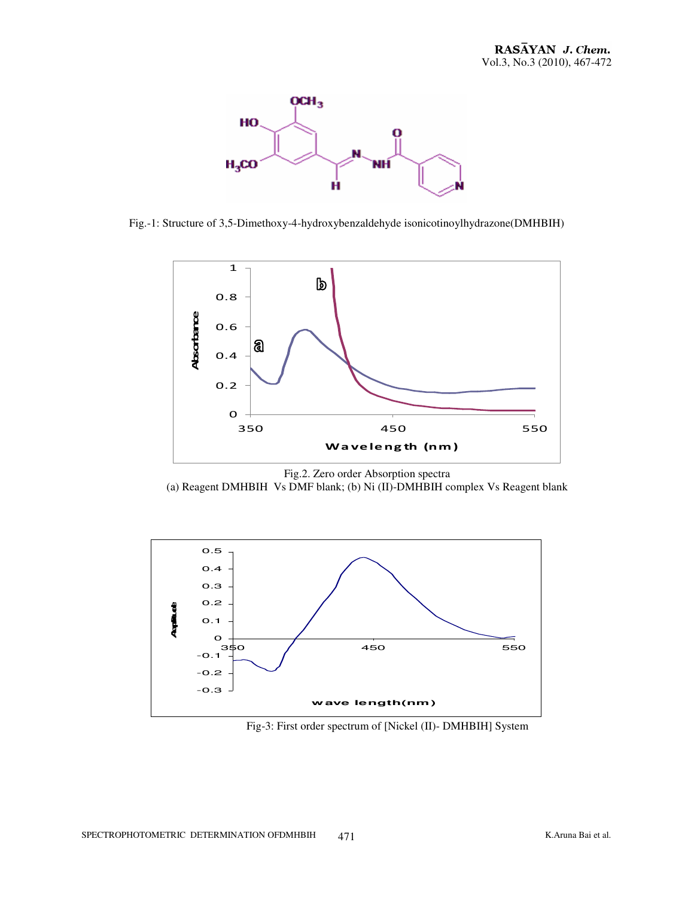

Fig.-1: Structure of 3,5-Dimethoxy-4-hydroxybenzaldehyde isonicotinoylhydrazone(DMHBIH)







Fig-3: First order spectrum of [Nickel (II)- DMHBIH] System